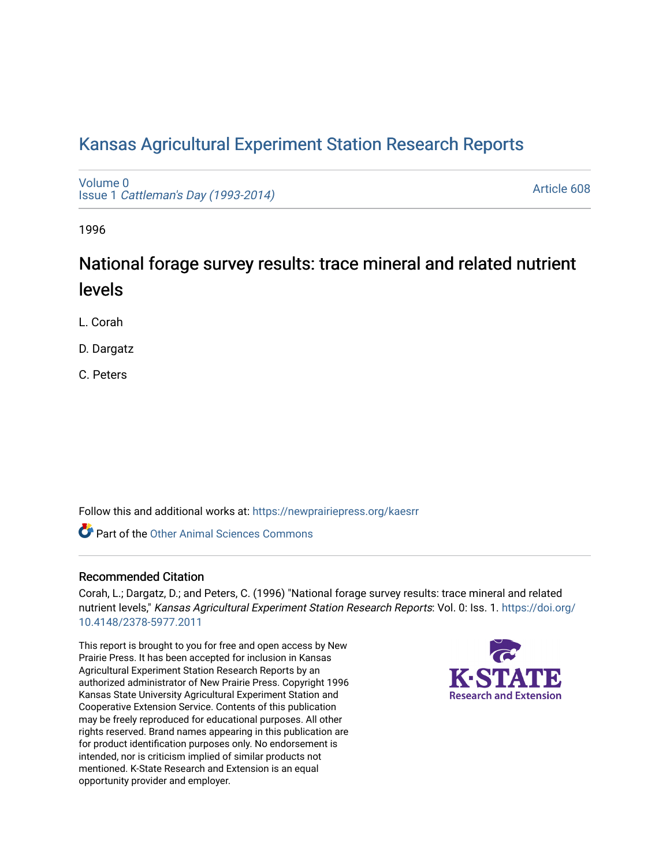# [Kansas Agricultural Experiment Station Research Reports](https://newprairiepress.org/kaesrr)

[Volume 0](https://newprairiepress.org/kaesrr/vol0) Issue 1 [Cattleman's Day \(1993-2014\)](https://newprairiepress.org/kaesrr/vol0/iss1) 

[Article 608](https://newprairiepress.org/kaesrr/vol0/iss1/608) 

1996

# National forage survey results: trace mineral and related nutrient levels

L. Corah

D. Dargatz

C. Peters

Follow this and additional works at: [https://newprairiepress.org/kaesrr](https://newprairiepress.org/kaesrr?utm_source=newprairiepress.org%2Fkaesrr%2Fvol0%2Fiss1%2F608&utm_medium=PDF&utm_campaign=PDFCoverPages) 

**C** Part of the [Other Animal Sciences Commons](http://network.bepress.com/hgg/discipline/82?utm_source=newprairiepress.org%2Fkaesrr%2Fvol0%2Fiss1%2F608&utm_medium=PDF&utm_campaign=PDFCoverPages)

## Recommended Citation

Corah, L.; Dargatz, D.; and Peters, C. (1996) "National forage survey results: trace mineral and related nutrient levels," Kansas Agricultural Experiment Station Research Reports: Vol. 0: Iss. 1. [https://doi.org/](https://doi.org/10.4148/2378-5977.2011) [10.4148/2378-5977.2011](https://doi.org/10.4148/2378-5977.2011)

This report is brought to you for free and open access by New Prairie Press. It has been accepted for inclusion in Kansas Agricultural Experiment Station Research Reports by an authorized administrator of New Prairie Press. Copyright 1996 Kansas State University Agricultural Experiment Station and Cooperative Extension Service. Contents of this publication may be freely reproduced for educational purposes. All other rights reserved. Brand names appearing in this publication are for product identification purposes only. No endorsement is intended, nor is criticism implied of similar products not mentioned. K-State Research and Extension is an equal opportunity provider and employer.

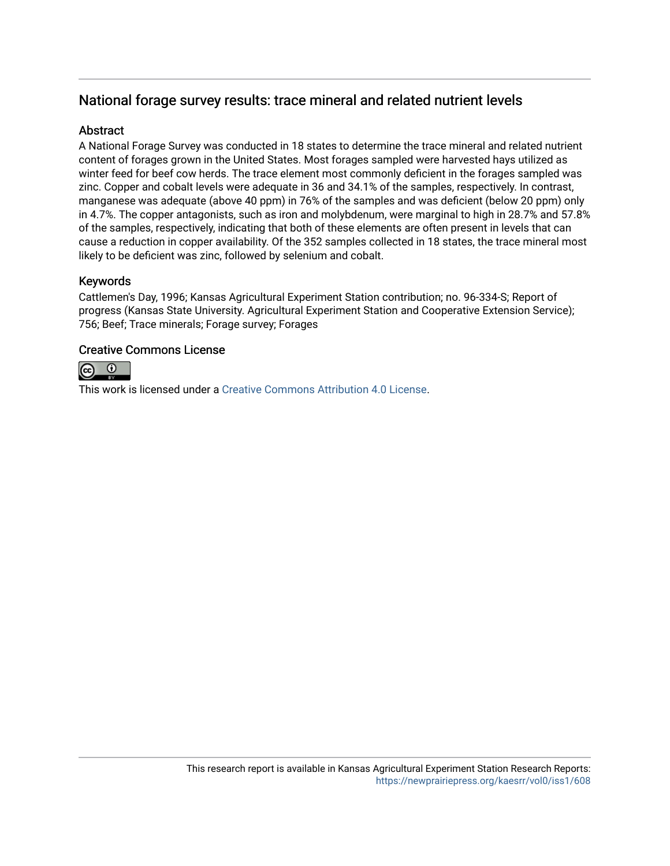## National forage survey results: trace mineral and related nutrient levels

## **Abstract**

A National Forage Survey was conducted in 18 states to determine the trace mineral and related nutrient content of forages grown in the United States. Most forages sampled were harvested hays utilized as winter feed for beef cow herds. The trace element most commonly deficient in the forages sampled was zinc. Copper and cobalt levels were adequate in 36 and 34.1% of the samples, respectively. In contrast, manganese was adequate (above 40 ppm) in 76% of the samples and was deficient (below 20 ppm) only in 4.7%. The copper antagonists, such as iron and molybdenum, were marginal to high in 28.7% and 57.8% of the samples, respectively, indicating that both of these elements are often present in levels that can cause a reduction in copper availability. Of the 352 samples collected in 18 states, the trace mineral most likely to be deficient was zinc, followed by selenium and cobalt.

## Keywords

Cattlemen's Day, 1996; Kansas Agricultural Experiment Station contribution; no. 96-334-S; Report of progress (Kansas State University. Agricultural Experiment Station and Cooperative Extension Service); 756; Beef; Trace minerals; Forage survey; Forages

## Creative Commons License



This work is licensed under a [Creative Commons Attribution 4.0 License](https://creativecommons.org/licenses/by/4.0/).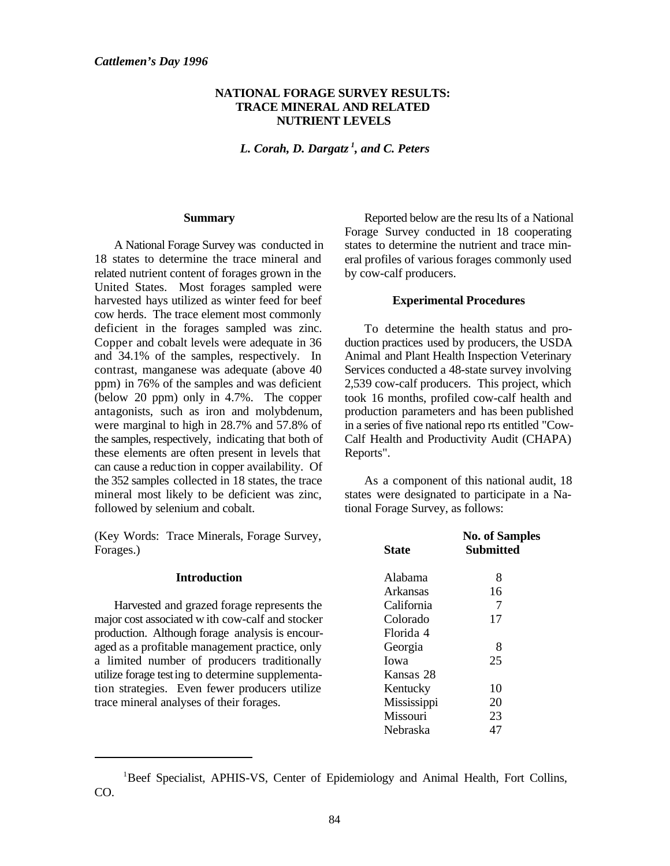#### **NATIONAL FORAGE SURVEY RESULTS: TRACE MINERAL AND RELATED NUTRIENT LEVELS**

*L. Corah, D. Dargatz<sup>1</sup>, and C. Peters* 

#### **Summary**

A National Forage Survey was conducted in 18 states to determine the trace mineral and related nutrient content of forages grown in the United States. Most forages sampled were harvested hays utilized as winter feed for beef cow herds. The trace element most commonly deficient in the forages sampled was zinc. Copper and cobalt levels were adequate in 36 and 34.1% of the samples, respectively. In contrast, manganese was adequate (above 40 ppm) in 76% of the samples and was deficient (below 20 ppm) only in 4.7%. The copper antagonists, such as iron and molybdenum, were marginal to high in 28.7% and 57.8% of the samples, respectively, indicating that both of these elements are often present in levels that can cause a reduction in copper availability. Of the 352 samples collected in 18 states, the trace mineral most likely to be deficient was zinc, followed by selenium and cobalt.

(Key Words: Trace Minerals, Forage Survey, Forages.)

#### **Introduction**

Harvested and grazed forage represents the major cost associated w ith cow-calf and stocker production. Although forage analysis is encouraged as a profitable management practice, only a limited number of producers traditionally utilize forage testing to determine supplementation strategies. Even fewer producers utilize trace mineral analyses of their forages.

Reported below are the resu lts of a National Forage Survey conducted in 18 cooperating states to determine the nutrient and trace mineral profiles of various forages commonly used by cow-calf producers.

#### **Experimental Procedures**

To determine the health status and production practices used by producers, the USDA Animal and Plant Health Inspection Veterinary Services conducted a 48-state survey involving 2,539 cow-calf producers. This project, which took 16 months, profiled cow-calf health and production parameters and has been published in a series of five national repo rts entitled "Cow-Calf Health and Productivity Audit (CHAPA) Reports".

As a component of this national audit, 18 states were designated to participate in a National Forage Survey, as follows:

| State       | <b>No. of Samples</b><br>Submitted |  |  |  |  |  |
|-------------|------------------------------------|--|--|--|--|--|
| Alabama     | 8                                  |  |  |  |  |  |
| Arkansas    | 16                                 |  |  |  |  |  |
| California  | 7                                  |  |  |  |  |  |
| Colorado    | 17                                 |  |  |  |  |  |
| Florida 4   |                                    |  |  |  |  |  |
| Georgia     | 8                                  |  |  |  |  |  |
| Iowa        | 25                                 |  |  |  |  |  |
| Kansas 28   |                                    |  |  |  |  |  |
| Kentucky    | 10                                 |  |  |  |  |  |
| Mississippi | 20                                 |  |  |  |  |  |
| Missouri    | 23                                 |  |  |  |  |  |
| Nebraska    | 47                                 |  |  |  |  |  |

<sup>&</sup>lt;sup>1</sup>Beef Specialist, APHIS-VS, Center of Epidemiology and Animal Health, Fort Collins, CO.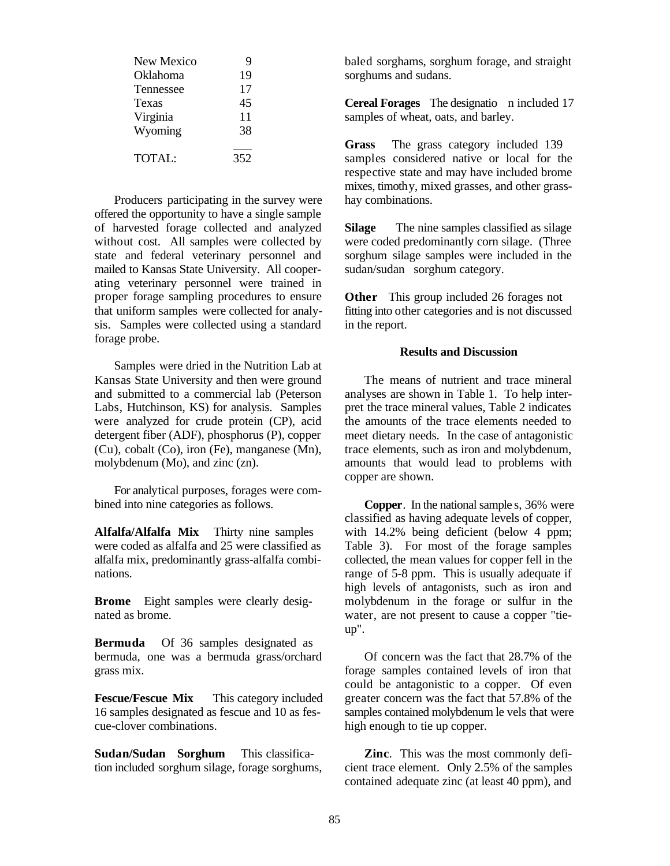| New Mexico   | 9   |  |
|--------------|-----|--|
| Oklahoma     | 19  |  |
| Tennessee    | 17  |  |
| <b>Texas</b> | 45  |  |
| Virginia     | 11  |  |
| Wyoming      | 38  |  |
|              |     |  |
| TOTAL:       | 352 |  |

Producers participating in the survey were offered the opportunity to have a single sample of harvested forage collected and analyzed without cost. All samples were collected by state and federal veterinary personnel and mailed to Kansas State University. All cooperating veterinary personnel were trained in proper forage sampling procedures to ensure that uniform samples were collected for analysis. Samples were collected using a standard forage probe.

Samples were dried in the Nutrition Lab at Kansas State University and then were ground and submitted to a commercial lab (Peterson Labs, Hutchinson, KS) for analysis. Samples were analyzed for crude protein (CP), acid detergent fiber (ADF), phosphorus (P), copper (Cu), cobalt (Co), iron (Fe), manganese (Mn), molybdenum (Mo), and zinc (zn).

For analytical purposes, forages were combined into nine categories as follows.

**Alfalfa/Alfalfa Mix** Thirty nine samples were coded as alfalfa and 25 were classified as alfalfa mix, predominantly grass-alfalfa combinations.

**Brome** Eight samples were clearly designated as brome.

**Bermuda** Of 36 samples designated as bermuda, one was a bermuda grass/orchard grass mix.

**Fescue/Fescue Mix** This category included 16 samples designated as fescue and 10 as fescue-clover combinations.

**Sudan/Sudan Sorghum** This classification included sorghum silage, forage sorghums, baled sorghams, sorghum forage, and straight sorghums and sudans.

**Cereal Forages** The designatio n included 17 samples of wheat, oats, and barley.

**Grass** The grass category included 139 samples considered native or local for the respective state and may have included brome mixes, timothy, mixed grasses, and other grasshay combinations.

**Silage** The nine samples classified as silage were coded predominantly corn silage. (Three sorghum silage samples were included in the sudan/sudan sorghum category.

**Other** This group included 26 forages not fitting into other categories and is not discussed in the report.

#### **Results and Discussion**

The means of nutrient and trace mineral analyses are shown in Table 1. To help interpret the trace mineral values, Table 2 indicates the amounts of the trace elements needed to meet dietary needs. In the case of antagonistic trace elements, such as iron and molybdenum, amounts that would lead to problems with copper are shown.

**Copper**. In the national sample s, 36% were classified as having adequate levels of copper, with 14.2% being deficient (below 4 ppm; Table 3). For most of the forage samples collected, the mean values for copper fell in the range of 5-8 ppm. This is usually adequate if high levels of antagonists, such as iron and molybdenum in the forage or sulfur in the water, are not present to cause a copper "tieup".

Of concern was the fact that 28.7% of the forage samples contained levels of iron that could be antagonistic to a copper. Of even greater concern was the fact that 57.8% of the samples contained molybdenum le vels that were high enough to tie up copper.

**Zinc**. This was the most commonly deficient trace element. Only 2.5% of the samples contained adequate zinc (at least 40 ppm), and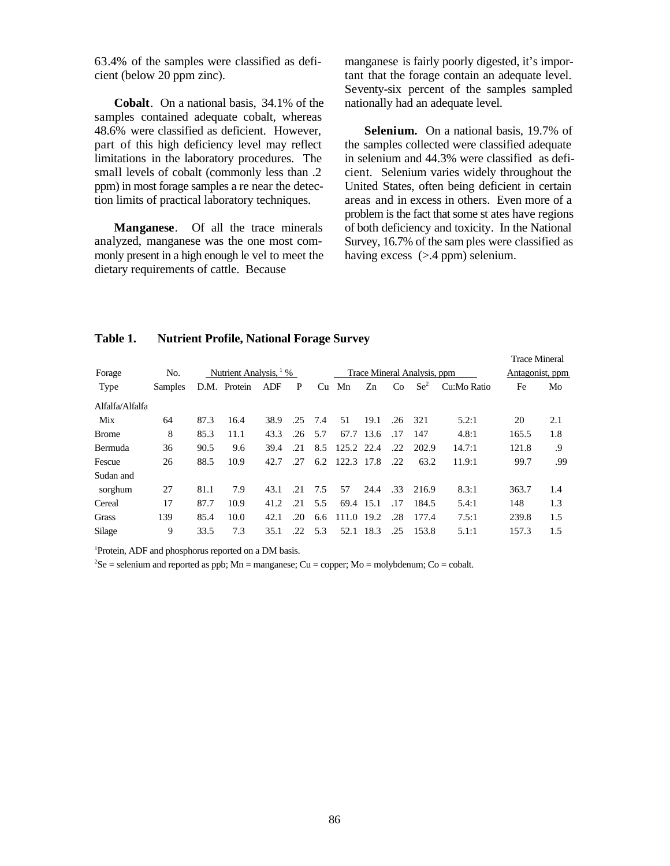63.4% of the samples were classified as deficient (below 20 ppm zinc).

**Cobalt**. On a national basis, 34.1% of the samples contained adequate cobalt, whereas 48.6% were classified as deficient. However, part of this high deficiency level may reflect limitations in the laboratory procedures. The small levels of cobalt (commonly less than .2 ppm) in most forage samples a re near the detection limits of practical laboratory techniques.

**Manganese**. Of all the trace minerals analyzed, manganese was the one most commonly present in a high enough le vel to meet the dietary requirements of cattle. Because

manganese is fairly poorly digested, it's important that the forage contain an adequate level. Seventy-six percent of the samples sampled nationally had an adequate level.

**Selenium.** On a national basis, 19.7% of the samples collected were classified adequate in selenium and 44.3% were classified as deficient. Selenium varies widely throughout the United States, often being deficient in certain areas and in excess in others. Even more of a problem is the fact that some st ates have regions of both deficiency and toxicity. In the National Survey, 16.7% of the sam ples were classified as having excess ( $>$ .4 ppm) selenium.

Trace Mineral

| Forage          | No.            | Nutrient Analysis, <sup>1</sup> % |              |      |     |     | Trace Mineral Analysis, ppm |      |     |                 |             | Antagonist, ppm |     |
|-----------------|----------------|-----------------------------------|--------------|------|-----|-----|-----------------------------|------|-----|-----------------|-------------|-----------------|-----|
| Type            | <b>Samples</b> |                                   | D.M. Protein | ADF  | P   | Cu  | Mn                          | Zn   | Co  | $\mathrm{Se}^2$ | Cu:Mo Ratio | Fe              | Mo  |
| Alfalfa/Alfalfa |                |                                   |              |      |     |     |                             |      |     |                 |             |                 |     |
| Mix             | 64             | 87.3                              | 16.4         | 38.9 | .25 | 7.4 | 51                          | 19.1 | .26 | 321             | 5.2:1       | 20              | 2.1 |
| <b>Brome</b>    | 8              | 85.3                              | 11.1         | 43.3 | .26 | 5.7 | 67.7                        | 13.6 | .17 | 147             | 4.8:1       | 165.5           | 1.8 |
| <b>Bermuda</b>  | 36             | 90.5                              | 9.6          | 39.4 | .21 | 8.5 | 125.2 22.4                  |      | .22 | 202.9           | 14.7:1      | 121.8           | .9  |
| Fescue          | 26             | 88.5                              | 10.9         | 42.7 | .27 | 6.2 | 122.3 17.8                  |      | .22 | 63.2            | 11.9:1      | 99.7            | .99 |
| Sudan and       |                |                                   |              |      |     |     |                             |      |     |                 |             |                 |     |
| sorghum         | 27             | 81.1                              | 7.9          | 43.1 | .21 | 7.5 | 57                          | 24.4 | .33 | 216.9           | 8.3:1       | 363.7           | 1.4 |
| Cereal          | 17             | 87.7                              | 10.9         | 41.2 | .21 | 5.5 | 69.4                        | 15.1 | .17 | 184.5           | 5.4:1       | 148             | 1.3 |
| Grass           | 139            | 85.4                              | 10.0         | 42.1 | .20 | 6.6 | 111.0                       | 19.2 | .28 | 177.4           | 7.5:1       | 239.8           | 1.5 |
| Silage          | 9              | 33.5                              | 7.3          | 35.1 | .22 | 5.3 | 52.1                        | 18.3 | .25 | 153.8           | 5.1:1       | 157.3           | 1.5 |

#### **Table 1. Nutrient Profile, National Forage Survey**

<sup>1</sup>Protein, ADF and phosphorus reported on a DM basis.

 ${}^{2}$ Se = selenium and reported as ppb; Mn = manganese; Cu = copper; Mo = molybdenum; Co = cobalt.